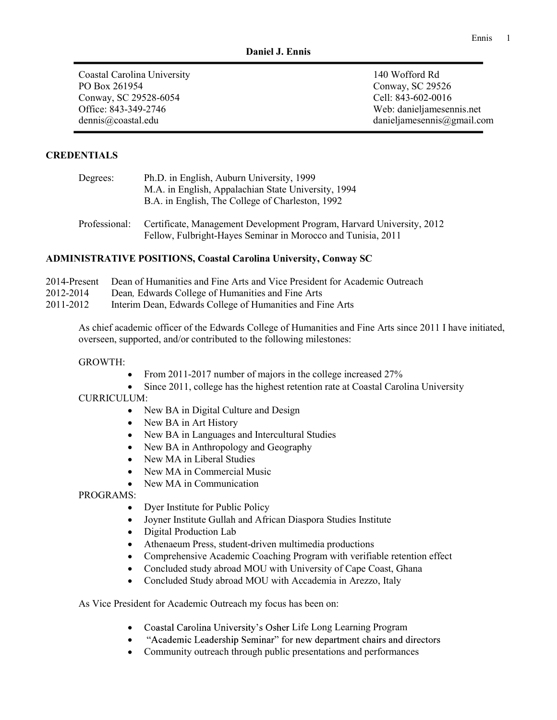| Coastal Carolina University | 140 Wofford Rd             |
|-----------------------------|----------------------------|
| PO Box 261954               | Conway, SC 29526           |
| Conway, SC 29528-6054       | Cell: 843-602-0016         |
| Office: 843-349-2746        | Web: danieljamesennis.net  |
| dennis@coastal.edu          | danieljamesennis@gmail.com |

# **CREDENTIALS**

| Ph.D. in English, Auburn University, 1999                                                                                             |  |  |
|---------------------------------------------------------------------------------------------------------------------------------------|--|--|
| M.A. in English, Appalachian State University, 1994                                                                                   |  |  |
| B.A. in English, The College of Charleston, 1992                                                                                      |  |  |
| Certificate, Management Development Program, Harvard University, 2012<br>Fellow, Fulbright-Hayes Seminar in Morocco and Tunisia, 2011 |  |  |
|                                                                                                                                       |  |  |

## ADMINISTRATIVE POSITIONS, Coastal Carolina University, Conway SC

|           | 2014-Present Dean of Humanities and Fine Arts and Vice President for Academic Outreach |
|-----------|----------------------------------------------------------------------------------------|
| 2012-2014 | Dean, Edwards College of Humanities and Fine Arts                                      |
| 2011-2012 | Interim Dean, Edwards College of Humanities and Fine Arts                              |

As chief academic officer of the Edwards College of Humanities and Fine Arts since 2011 I have initiated, overseen, supported, and/or contributed to the following milestones:

### GROWTH:

- From 2011-2017 number of majors in the college increased 27%  $\bullet$
- Since 2011, college has the highest retention rate at Coastal Carolina University

## CURRICULUM:

- New BA in Digital Culture and Design
- New BA in Art History
- New BA in Languages and Intercultural Studies
- New BA in Anthropology and Geography
- New MA in Liberal Studies
- New MA in Commercial Music
- New MA in Communication

PROGRAMS:

- Dyer Institute for Public Policy
- Joyner Institute Gullah and African Diaspora Studies Institute
- Digital Production Lab
- Athenaeum Press, student-driven multimedia productions
- Comprehensive Academic Coaching Program with verifiable retention effect
- Concluded study abroad MOU with University of Cape Coast, Ghana  $\bullet$
- Concluded Study abroad MOU with Accademia in Arezzo, Italy  $\bullet$

As Vice President for Academic Outreach my focus has been on:

- Coastal Carolina University's Osher Life Long Learning Program
- "Academic Leadership Seminar" for new department chairs and directors  $\bullet$
- Community outreach through public presentations and performances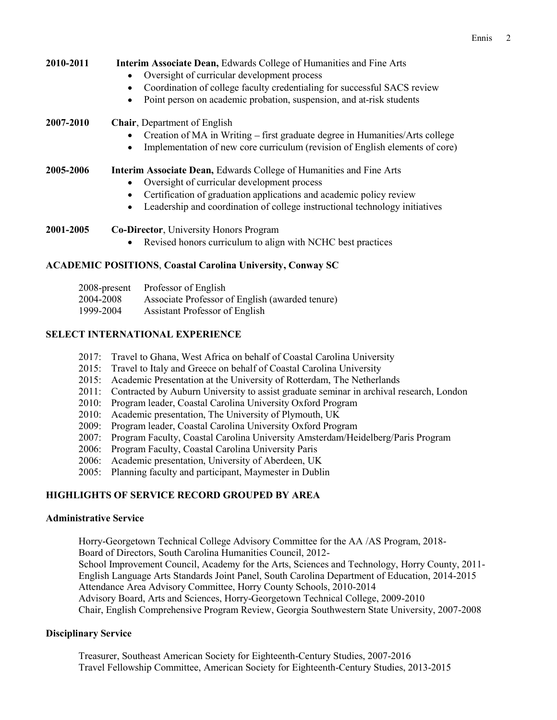| 2010-2011 | Interim Associate Dean, Edwards College of Humanities and Fine Arts<br>Oversight of curricular development process<br>٠<br>Coordination of college faculty credentialing for successful SACS review<br>$\bullet$<br>Point person on academic probation, suspension, and at-risk students                               |
|-----------|------------------------------------------------------------------------------------------------------------------------------------------------------------------------------------------------------------------------------------------------------------------------------------------------------------------------|
| 2007-2010 | Chair, Department of English<br>Creation of MA in Writing - first graduate degree in Humanities/Arts college<br>$\bullet$<br>Implementation of new core curriculum (revision of English elements of core)<br>$\bullet$                                                                                                 |
| 2005-2006 | <b>Interim Associate Dean, Edwards College of Humanities and Fine Arts</b><br>Oversight of curricular development process<br>$\bullet$<br>Certification of graduation applications and academic policy review<br>$\bullet$<br>Leadership and coordination of college instructional technology initiatives<br>$\bullet$ |
| 2001-2005 | <b>Co-Director, University Honors Program</b><br>Revised honors curriculum to align with NCHC best practices<br>$\bullet$                                                                                                                                                                                              |

## ACADEMIC POSITIONS, Coastal Carolina University, Conway SC

|           | 2008-present Professor of English               |
|-----------|-------------------------------------------------|
| 2004-2008 | Associate Professor of English (awarded tenure) |
| 1999-2004 | Assistant Professor of English                  |

### SELECT INTERNATIONAL EXPERIENCE

- 2017: Travel to Ghana, West Africa on behalf of Coastal Carolina University
- 2015: Travel to Italy and Greece on behalf of Coastal Carolina University
- 2015: Academic Presentation at the University of Rotterdam, The Netherlands
- 2011: Contracted by Auburn University to assist graduate seminar in archival research, London
- 2010: Program leader, Coastal Carolina University Oxford Program
- 2010: Academic presentation, The University of Plymouth, UK
- 2009: Program leader, Coastal Carolina University Oxford Program
- 2007: Program Faculty, Coastal Carolina University Amsterdam/Heidelberg/Paris Program
- 2006: Program Faculty, Coastal Carolina University Paris
- 2006: Academic presentation, University of Aberdeen, UK
- 2005: Planning faculty and participant, Maymester in Dublin

# HIGHLIGHTS OF SERVICE RECORD GROUPED BY AREA

### Administrative Service

Horry-Georgetown Technical College Advisory Committee for the AA /AS Program, 2018- Board of Directors, South Carolina Humanities Council, 2012- School Improvement Council, Academy for the Arts, Sciences and Technology, Horry County, 2011- English Language Arts Standards Joint Panel, South Carolina Department of Education, 2014-2015 Attendance Area Advisory Committee, Horry County Schools, 2010-2014 Advisory Board, Arts and Sciences, Horry-Georgetown Technical College, 2009-2010 Chair, English Comprehensive Program Review, Georgia Southwestern State University, 2007-2008

### Disciplinary Service

Treasurer, Southeast American Society for Eighteenth-Century Studies, 2007-2016 Travel Fellowship Committee, American Society for Eighteenth-Century Studies, 2013-2015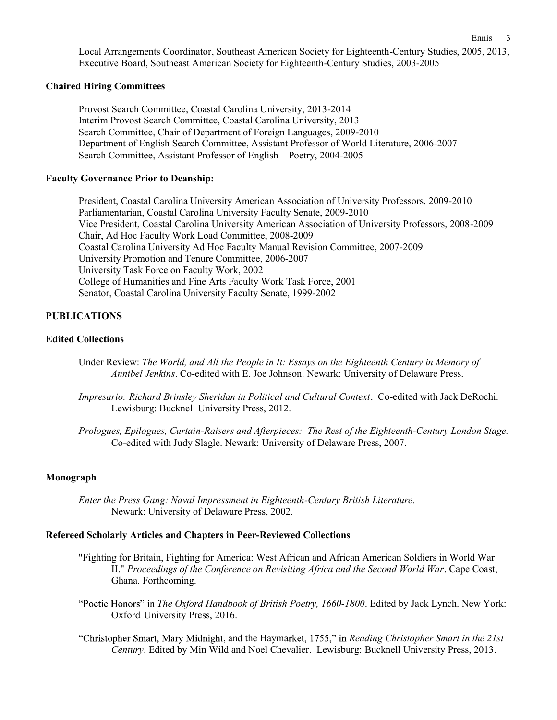Local Arrangements Coordinator, Southeast American Society for Eighteenth-Century Studies, 2005, 2013, Executive Board, Southeast American Society for Eighteenth-Century Studies, 2003-2005

#### Chaired Hiring Committees

Provost Search Committee, Coastal Carolina University, 2013-2014 Interim Provost Search Committee, Coastal Carolina University, 2013 Search Committee, Chair of Department of Foreign Languages, 2009-2010 Department of English Search Committee, Assistant Professor of World Literature, 2006-2007 Search Committee, Assistant Professor of English - Poetry, 2004-2005

#### Faculty Governance Prior to Deanship:

President, Coastal Carolina University American Association of University Professors, 2009-2010 Parliamentarian, Coastal Carolina University Faculty Senate, 2009-2010 Vice President, Coastal Carolina University American Association of University Professors, 2008-2009 Chair, Ad Hoc Faculty Work Load Committee, 2008-2009 Coastal Carolina University Ad Hoc Faculty Manual Revision Committee, 2007-2009 University Promotion and Tenure Committee, 2006-2007 University Task Force on Faculty Work, 2002 College of Humanities and Fine Arts Faculty Work Task Force, 2001 Senator, Coastal Carolina University Faculty Senate, 1999-2002

### PUBLICATIONS

#### Edited Collections

- Under Review: The World, and All the People in It: Essays on the Eighteenth Century in Memory of Annibel Jenkins. Co-edited with E. Joe Johnson. Newark: University of Delaware Press.
- Impresario: Richard Brinsley Sheridan in Political and Cultural Context. Co-edited with Jack DeRochi. Lewisburg: Bucknell University Press, 2012.
- Prologues, Epilogues, Curtain-Raisers and Afterpieces: The Rest of the Eighteenth-Century London Stage. Co-edited with Judy Slagle. Newark: University of Delaware Press, 2007.

### Monograph

Enter the Press Gang: Naval Impressment in Eighteenth-Century British Literature. Newark: University of Delaware Press, 2002.

#### Refereed Scholarly Articles and Chapters in Peer-Reviewed Collections

- "Fighting for Britain, Fighting for America: West African and African American Soldiers in World War II." Proceedings of the Conference on Revisiting Africa and the Second World War. Cape Coast, Ghana. Forthcoming.
- "Poetic Honors" in The Oxford Handbook of British Poetry, 1660-1800. Edited by Jack Lynch. New York: Oxford University Press, 2016.
- "Christopher Smart, Mary Midnight, and the Haymarket, 1755," in Reading Christopher Smart in the 21st Century. Edited by Min Wild and Noel Chevalier. Lewisburg: Bucknell University Press, 2013.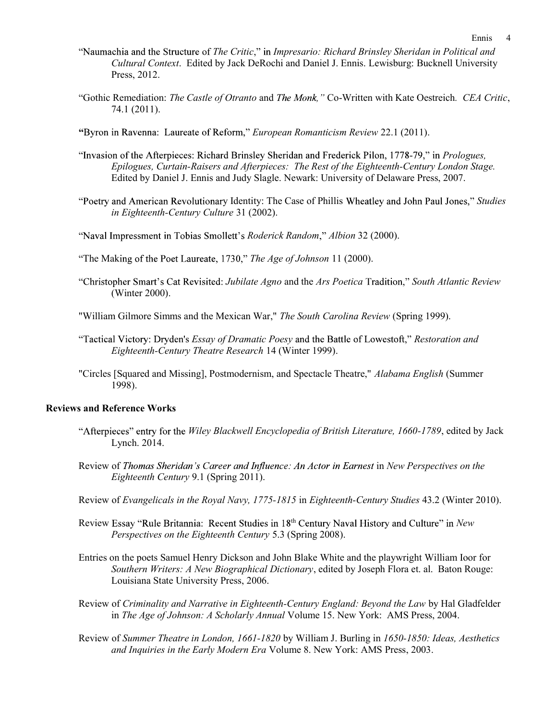- "Naumachia and the Structure of The Critic," in Impresario: Richard Brinsley Sheridan in Political and Cultural Context. Edited by Jack DeRochi and Daniel J. Ennis. Lewisburg: Bucknell University Press, 2012.
- "Gothic Remediation: The Castle of Otranto and The Monk," Co-Written with Kate Oestreich. CEA Critic, 74.1 (2011).
- "Byron in Ravenna: Laureate of Reform," *European Romanticism Review* 22.1 (2011).
- "Invasion of the Afterpieces: Richard Brinsley Sheridan and Frederick Pilon, 1778-79," in *Prologues*, Epilogues, Curtain-Raisers and Afterpieces: The Rest of the Eighteenth-Century London Stage. Edited by Daniel J. Ennis and Judy Slagle. Newark: University of Delaware Press, 2007.
- "Poetry and American Revolutionary Identity: The Case of Phillis Wheatley and John Paul Jones," Studies in Eighteenth-Century Culture 31 (2002).
- "Naval Impressment in Tobias Smollett's Roderick Random," Albion 32 (2000).
- "The Making of the Poet Laureate, 1730," The Age of Johnson 11 (2000).
- "Christopher Smart's Cat Revisited: Jubilate Agno and the Ars Poetica Tradition," South Atlantic Review (Winter 2000).
- "William Gilmore Simms and the Mexican War," The South Carolina Review (Spring 1999).
- "Tactical Victory: Dryden's Essay of Dramatic Poesy and the Battle of Lowestoft," Restoration and Eighteenth-Century Theatre Research 14 (Winter 1999).
- "Circles [Squared and Missing], Postmodernism, and Spectacle Theatre," Alabama English (Summer 1998).

### Reviews and Reference Works

- "Afterpieces" entry for the Wiley Blackwell Encyclopedia of British Literature, 1660-1789, edited by Jack Lynch. 2014.
- Review of Thomas Sheridan's Career and Influence: An Actor in Earnest in New Perspectives on the Eighteenth Century 9.1 (Spring 2011).
- Review of Evangelicals in the Royal Navy, 1775-1815 in Eighteenth-Century Studies 43.2 (Winter 2010).
- Review Essay "Rule Britannia: Recent Studies in 18th Century Naval History and Culture" in New Perspectives on the Eighteenth Century 5.3 (Spring 2008).
- Entries on the poets Samuel Henry Dickson and John Blake White and the playwright William Ioor for Southern Writers: A New Biographical Dictionary, edited by Joseph Flora et. al. Baton Rouge: Louisiana State University Press, 2006.
- Review of Criminality and Narrative in Eighteenth-Century England: Beyond the Law by Hal Gladfelder in The Age of Johnson: A Scholarly Annual Volume 15. New York: AMS Press, 2004.
- Review of Summer Theatre in London, 1661-1820 by William J. Burling in 1650-1850: Ideas, Aesthetics and Inquiries in the Early Modern Era Volume 8. New York: AMS Press, 2003.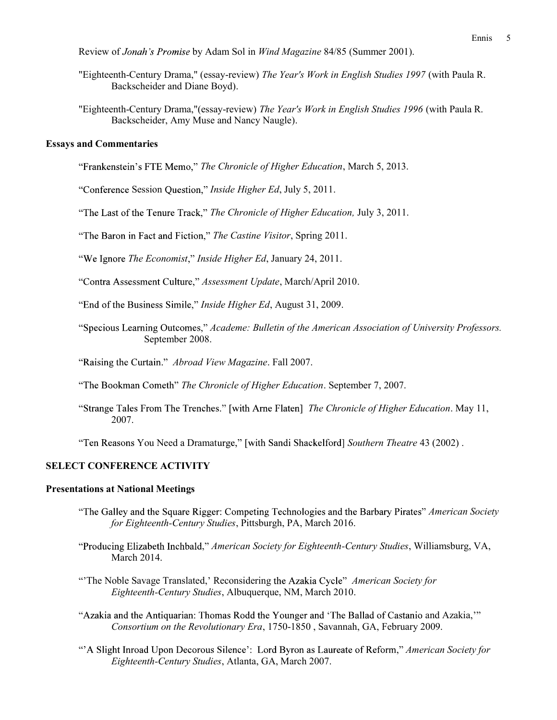Review of *Jonah's Promise* by Adam Sol in *Wind Magazine* 84/85 (Summer 2001).

- "Eighteenth-Century Drama," (essay-review) The Year's Work in English Studies 1997 (with Paula R. Backscheider and Diane Boyd).
- "Eighteenth-Century Drama,"(essay-review) The Year's Work in English Studies 1996 (with Paula R. Backscheider, Amy Muse and Nancy Naugle).

### Essays and Commentaries

"Frankenstein's FTE Memo," The Chronicle of Higher Education, March 5, 2013.

"Conference Session Question," Inside Higher Ed, July 5, 2011.

"The Last of the Tenure Track," The Chronicle of Higher Education, July 3, 2011.

"The Baron in Fact and Fiction," The Castine Visitor, Spring 2011.

"We Ignore The Economist," Inside Higher Ed, January 24, 2011.

"Contra Assessment Culture," Assessment Update, March/April 2010.

"End of the Business Simile," *Inside Higher Ed*, August 31, 2009.

"Specious Learning Outcomes," Academe: Bulletin of the American Association of University Professors. September 2008.

"Raising the Curtain." Abroad View Magazine. Fall 2007.

"The Bookman Cometh" The Chronicle of Higher Education. September 7, 2007.

"Strange Tales From The Trenches." [with Arne Flaten] The Chronicle of Higher Education. May 11, 2007.

"Ten Reasons You Need a Dramaturge," [with Sandi Shackelford] Southern Theatre 43 (2002).

## SELECT CONFERENCE ACTIVITY

### Presentations at National Meetings

- "The Galley and the Square Rigger: Competing Technologies and the Barbary Pirates" American Society for Eighteenth-Century Studies, Pittsburgh, PA, March 2016.
- "Producing Elizabeth Inchbald," American Society for Eighteenth-Century Studies, Williamsburg, VA, March 2014.
- "The Noble Savage Translated,' Reconsidering the Azakia Cycle" American Society for Eighteenth-Century Studies, Albuquerque, NM, March 2010.
- "Azakia and the Antiquarian: Thomas Rodd the Younger and 'The Ballad of Castanio and Azakia,"" Consortium on the Revolutionary Era, 1750-1850 , Savannah, GA, February 2009.
- "A Slight Inroad Upon Decorous Silence': Lord Byron as Laureate of Reform," American Society for Eighteenth-Century Studies, Atlanta, GA, March 2007.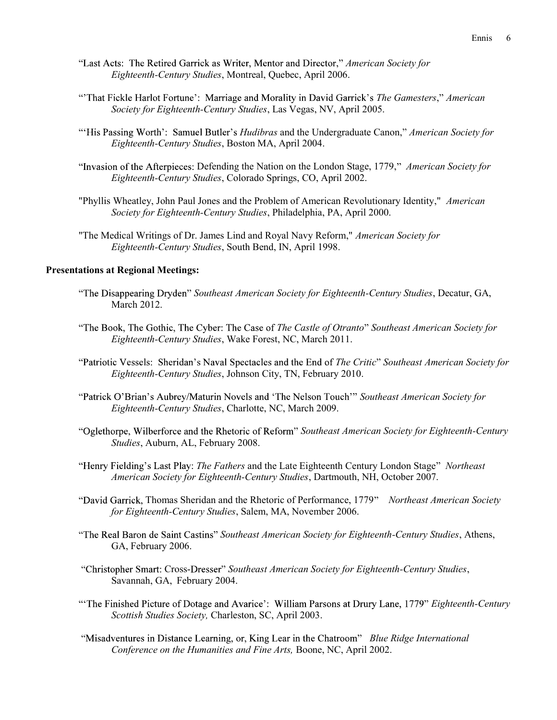- "Last Acts: The Retired Garrick as Writer, Mentor and Director," American Society for Eighteenth-Century Studies, Montreal, Quebec, April 2006.
- "That Fickle Harlot Fortune': Marriage and Morality in David Garrick's The Gamesters," American Society for Eighteenth-Century Studies, Las Vegas, NV, April 2005.
- "His Passing Worth': Samuel Butler's *Hudibras* and the Undergraduate Canon," American Society for Eighteenth-Century Studies, Boston MA, April 2004.
- "Invasion of the Afterpieces: Defending the Nation on the London Stage,  $1779$ ," American Society for Eighteenth-Century Studies, Colorado Springs, CO, April 2002.
- "Phyllis Wheatley, John Paul Jones and the Problem of American Revolutionary Identity," American Society for Eighteenth-Century Studies, Philadelphia, PA, April 2000.
- "The Medical Writings of Dr. James Lind and Royal Navy Reform," American Society for Eighteenth-Century Studies, South Bend, IN, April 1998.

## Presentations at Regional Meetings:

- "The Disappearing Dryden" Southeast American Society for Eighteenth-Century Studies, Decatur, GA, March 2012.
- "The Book, The Gothic, The Cyber: The Case of The Castle of Otranto" Southeast American Society for Eighteenth-Century Studies, Wake Forest, NC, March 2011.
- "Patriotic Vessels: Sheridan's Naval Spectacles and the End of The Critic" Southeast American Society for Eighteenth-Century Studies, Johnson City, TN, February 2010.
- "Patrick O'Brian's Aubrey/Maturin Novels and 'The Nelson Touch'" Southeast American Society for Eighteenth-Century Studies, Charlotte, NC, March 2009.
- "Oglethorpe, Wilberforce and the Rhetoric of Reform" Southeast American Society for Eighteenth-Century Studies, Auburn, AL, February 2008.
- "Henry Fielding's Last Play: The Fathers and the Late Eighteenth Century London Stage" Northeast American Society for Eighteenth-Century Studies, Dartmouth, NH, October 2007.
- "David Garrick, Thomas Sheridan and the Rhetoric of Performance, 1779" Northeast American Society for Eighteenth-Century Studies, Salem, MA, November 2006.
- "The Real Baron de Saint Castins" Southeast American Society for Eighteenth-Century Studies, Athens, GA, February 2006.
- "Christopher Smart: Cross-Dresser" Southeast American Society for Eighteenth-Century Studies, Savannah, GA, February 2004.
- "The Finished Picture of Dotage and Avarice': William Parsons at Drury Lane, 1779" Eighteenth-Century Scottish Studies Society, Charleston, SC, April 2003.
- "Misadventures in Distance Learning, or, King Lear in the Chatroom" Blue Ridge International Conference on the Humanities and Fine Arts, Boone, NC, April 2002.